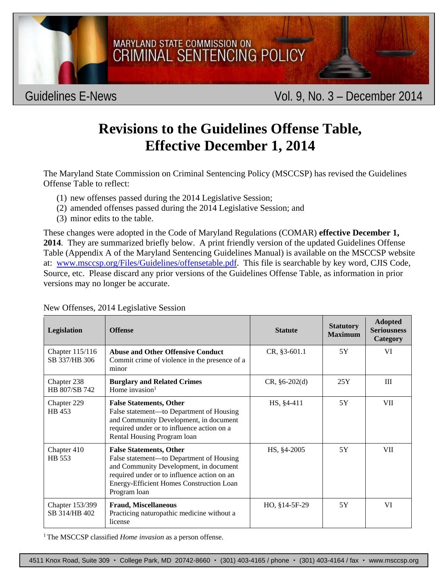

## **Revisions to the Guidelines Offense Table, Effective December 1, 2014**

The Maryland State Commission on Criminal Sentencing Policy (MSCCSP) has revised the Guidelines Offense Table to reflect:

- (1) new offenses passed during the 2014 Legislative Session;
- (2) amended offenses passed during the 2014 Legislative Session; and
- (3) minor edits to the table.

These changes were adopted in the Code of Maryland Regulations (COMAR) **effective December 1, 2014**. They are summarized briefly below. A print friendly version of the updated Guidelines Offense Table (Appendix A of the Maryland Sentencing Guidelines Manual) is available on the MSCCSP website at: www.msccsp.org/Files/Guidelines/offensetable.pdf. This file is searchable by key word, CJIS Code, Source, etc. Please discard any prior versions of the Guidelines Offense Table, as information in prior versions may no longer be accurate.

| Legislation                      | <b>Offense</b>                                                                                                                                                                                                                  | <b>Statute</b>  | <b>Statutory</b><br><b>Maximum</b> | <b>Adopted</b><br><b>Seriousness</b><br>Category |
|----------------------------------|---------------------------------------------------------------------------------------------------------------------------------------------------------------------------------------------------------------------------------|-----------------|------------------------------------|--------------------------------------------------|
| Chapter 115/116<br>SB 337/HB 306 | <b>Abuse and Other Offensive Conduct</b><br>Commit crime of violence in the presence of a<br>minor                                                                                                                              | CR, §3-601.1    | 5Y                                 | VI                                               |
| Chapter 238<br>HB 807/SB 742     | <b>Burglary and Related Crimes</b><br>Home invasion $1$                                                                                                                                                                         | $CR, §6-202(d)$ | 25Y                                | III                                              |
| Chapter 229<br>HB 453            | <b>False Statements, Other</b><br>False statement—to Department of Housing<br>and Community Development, in document<br>required under or to influence action on a<br>Rental Housing Program loan                               | HS, §4-411      | 5Y                                 | VII                                              |
| Chapter 410<br>HB 553            | <b>False Statements, Other</b><br>False statement—to Department of Housing<br>and Community Development, in document<br>required under or to influence action on an<br>Energy-Efficient Homes Construction Loan<br>Program loan | HS, §4-2005     | 5Y                                 | VII                                              |
| Chapter 153/399<br>SB 314/HB 402 | <b>Fraud, Miscellaneous</b><br>Practicing naturopathic medicine without a<br>license                                                                                                                                            | HO, §14-5F-29   | 5Y                                 | VI                                               |

New Offenses, 2014 Legislative Session

1 The MSCCSP classified *Home invasion* as a person offense.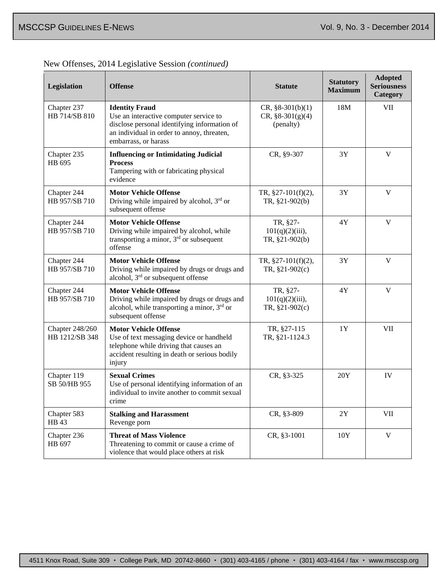|  | New Offenses, 2014 Legislative Session (continued) |  |  |
|--|----------------------------------------------------|--|--|
|  |                                                    |  |  |

| Legislation                              | <b>Offense</b>                                                                                                                                                                        | <b>Statute</b>                                            | <b>Statutory</b><br><b>Maximum</b> | <b>Adopted</b><br><b>Seriousness</b><br>Category |
|------------------------------------------|---------------------------------------------------------------------------------------------------------------------------------------------------------------------------------------|-----------------------------------------------------------|------------------------------------|--------------------------------------------------|
| Chapter 237<br>HB 714/SB 810             | <b>Identity Fraud</b><br>Use an interactive computer service to<br>disclose personal identifying information of<br>an individual in order to annoy, threaten,<br>embarrass, or harass | $CR, \S 8-301(b)(1)$<br>$CR, \S 8-301(g)(4)$<br>(penalty) | 18M                                | VII                                              |
| Chapter 235<br>HB 695                    | <b>Influencing or Intimidating Judicial</b><br><b>Process</b><br>Tampering with or fabricating physical<br>evidence                                                                   | CR, §9-307                                                | 3Y                                 | $\mathbf V$                                      |
| Chapter 244<br>HB 957/SB 710             | <b>Motor Vehicle Offense</b><br>Driving while impaired by alcohol, $3rd$ or<br>subsequent offense                                                                                     | TR, $§27-101(f)(2)$ ,<br>TR, §21-902(b)                   | 3Y                                 | V                                                |
| Chapter 244<br>HB 957/SB 710             | <b>Motor Vehicle Offense</b><br>Driving while impaired by alcohol, while<br>transporting a minor, $3rd$ or subsequent<br>offense                                                      | TR, §27-<br>$101(q)(2)(iii)$ ,<br>TR, §21-902(b)          | 4Y                                 | $\mathbf{V}$                                     |
| Chapter 244<br>HB 957/SB 710             | <b>Motor Vehicle Offense</b><br>Driving while impaired by drugs or drugs and<br>alcohol, 3 <sup>rd</sup> or subsequent offense                                                        | TR, $§27-101(f)(2)$ ,<br>TR, $§21-902(c)$                 | 3Y                                 | V                                                |
| Chapter 244<br>HB 957/SB 710             | <b>Motor Vehicle Offense</b><br>Driving while impaired by drugs or drugs and<br>alcohol, while transporting a minor, 3rd or<br>subsequent offense                                     | TR, §27-<br>$101(q)(2)(iii)$ ,<br>TR, §21-902(c)          | 4Y                                 | V                                                |
| <b>Chapter 248/260</b><br>HB 1212/SB 348 | <b>Motor Vehicle Offense</b><br>Use of text messaging device or handheld<br>telephone while driving that causes an<br>accident resulting in death or serious bodily<br>injury         | TR, §27-115<br>TR, §21-1124.3                             | 1Y                                 | VII                                              |
| Chapter 119<br>SB 50/HB 955              | <b>Sexual Crimes</b><br>Use of personal identifying information of an<br>individual to invite another to commit sexual<br>crime                                                       | CR, §3-325                                                | 20Y                                | IV                                               |
| Chapter 583<br>HB 43                     | <b>Stalking and Harassment</b><br>Revenge porn                                                                                                                                        | CR, §3-809                                                | 2Y                                 | VII                                              |
| Chapter 236<br>HB 697                    | <b>Threat of Mass Violence</b><br>Threatening to commit or cause a crime of<br>violence that would place others at risk                                                               | CR, §3-1001                                               | 10Y                                | $\mathbf V$                                      |